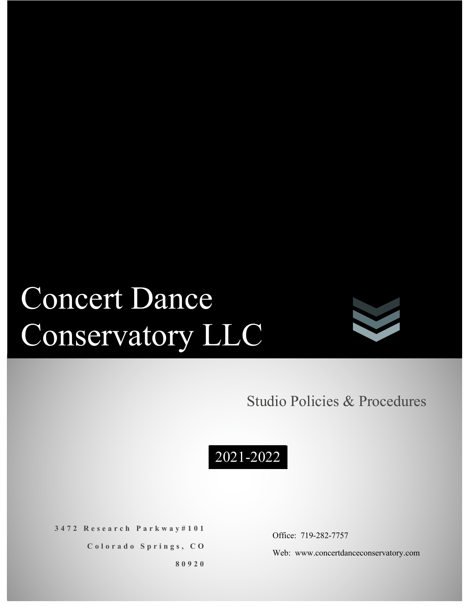# Concert Dance Conservatory LLC



## Studio Policies & Procedures



**3472 Research Parkway#101**

**Colorado Springs, CO**

**80920**

Office: 719-282-7757

Web: www.concertdanceconservatory.com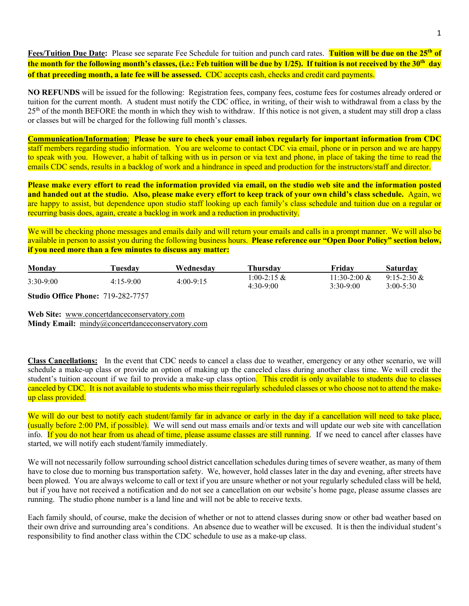**Fees/Tuition Due Date:** Please see separate Fee Schedule for tuition and punch card rates. **Tuition will be due on the 25th of the month for the following month's classes, (i.e.: Feb tuition will be due by 1/25). If tuition is not received by the 30th day of that preceding month, a late fee will be assessed.** CDC accepts cash, checks and credit card payments.

**NO REFUNDS** will be issued for the following: Registration fees, company fees, costume fees for costumes already ordered or tuition for the current month. A student must notify the CDC office, in writing, of their wish to withdrawal from a class by the 25<sup>th</sup> of the month BEFORE the month in which they wish to withdraw. If this notice is not given, a student may still drop a class or classes but will be charged for the following full month's classes.

**Communication/Information**: **Please be sure to check your email inbox regularly for important information from CDC** staff members regarding studio information. You are welcome to contact CDC via email, phone or in person and we are happy to speak with you. However, a habit of talking with us in person or via text and phone, in place of taking the time to read the emails CDC sends, results in a backlog of work and a hindrance in speed and production for the instructors/staff and director.

**Please make every effort to read the information provided via email, on the studio web site and the information posted and handed out at the studio. Also, please make every effort to keep track of your own child's class schedule.** Again, we are happy to assist, but dependence upon studio staff looking up each family's class schedule and tuition due on a regular or recurring basis does, again, create a backlog in work and a reduction in productivity.

We will be checking phone messages and emails daily and will return your emails and calls in a prompt manner. We will also be available in person to assist you during the following business hours. **Please reference our "Open Door Policy" section below, if you need more than a few minutes to discuss any matter:**

| Monday                                       | Tuesdav            | Wednesdav   | Thursdav                   | Fridav                         | Saturdav                        |
|----------------------------------------------|--------------------|-------------|----------------------------|--------------------------------|---------------------------------|
| $3:30-9:00$                                  | $4:15-9:00$        | $4:00-9:15$ | 1:00-2:15 &<br>$4:30-9:00$ | $11:30-2:00 \&$<br>$3:30-9:00$ | $9:15-2:30 \&$<br>$3:00 - 5:30$ |
| $\sim$ $\sim$ $\sim$ $\sim$ $\sim$<br>$\sim$ | $-100 - 200 - 200$ |             |                            |                                |                                 |

**Studio Office Phone:** 719-282-7757

**Web Site:** www.concertdanceconservatory.com **Mindy Email:** mindy@concertdanceconservatory.com

**Class Cancellations:** In the event that CDC needs to cancel a class due to weather, emergency or any other scenario, we will schedule a make-up class or provide an option of making up the canceled class during another class time. We will credit the student's tuition account if we fail to provide a make-up class option. This credit is only available to students due to classes canceled by CDC. It is not available to students who miss their regularly scheduled classes or who choose not to attend the makeup class provided.

We will do our best to notify each student/family far in advance or early in the day if a cancellation will need to take place, (usually before 2:00 PM, if possible). We will send out mass emails and/or texts and will update our web site with cancellation info. If you do not hear from us ahead of time, please assume classes are still running. If we need to cancel after classes have started, we will notify each student/family immediately.

We will not necessarily follow surrounding school district cancellation schedules during times of severe weather, as many of them have to close due to morning bus transportation safety. We, however, hold classes later in the day and evening, after streets have been plowed. You are always welcome to call or text if you are unsure whether or not your regularly scheduled class will be held, but if you have not received a notification and do not see a cancellation on our website's home page, please assume classes are running. The studio phone number is a land line and will not be able to receive texts.

Each family should, of course, make the decision of whether or not to attend classes during snow or other bad weather based on their own drive and surrounding area's conditions. An absence due to weather will be excused. It is then the individual student's responsibility to find another class within the CDC schedule to use as a make-up class.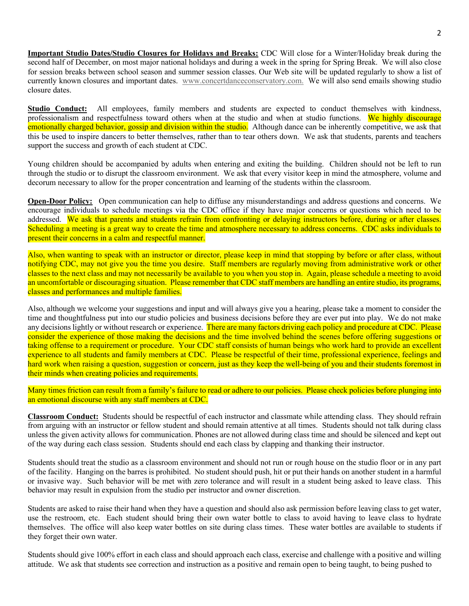**Important Studio Dates/Studio Closures for Holidays and Breaks:** CDC Will close for a Winter/Holiday break during the second half of December, on most major national holidays and during a week in the spring for Spring Break. We will also close for session breaks between school season and summer session classes. Our Web site will be updated regularly to show a list of currently known closures and important dates. www.concertdanceconservatory.com. We will also send emails showing studio closure dates.

**Studio Conduct:** All employees, family members and students are expected to conduct themselves with kindness, professionalism and respectfulness toward others when at the studio and when at studio functions. We highly discourage emotionally charged behavior, gossip and division within the studio. Although dance can be inherently competitive, we ask that this be used to inspire dancers to better themselves, rather than to tear others down. We ask that students, parents and teachers support the success and growth of each student at CDC.

Young children should be accompanied by adults when entering and exiting the building. Children should not be left to run through the studio or to disrupt the classroom environment. We ask that every visitor keep in mind the atmosphere, volume and decorum necessary to allow for the proper concentration and learning of the students within the classroom.

**Open-Door Policy:** Open communication can help to diffuse any misunderstandings and address questions and concerns. We encourage individuals to schedule meetings via the CDC office if they have major concerns or questions which need to be addressed. We ask that parents and students refrain from confronting or delaying instructors before, during or after classes. Scheduling a meeting is a great way to create the time and atmosphere necessary to address concerns. CDC asks individuals to present their concerns in a calm and respectful manner.

Also, when wanting to speak with an instructor or director, please keep in mind that stopping by before or after class, without notifying CDC, may not give you the time you desire. Staff members are regularly moving from administrative work or other classes to the next class and may not necessarily be available to you when you stop in. Again, please schedule a meeting to avoid an uncomfortable or discouraging situation. Please remember that CDC staff members are handling an entire studio, its programs, classes and performances and multiple families.

Also, although we welcome your suggestions and input and will always give you a hearing, please take a moment to consider the time and thoughtfulness put into our studio policies and business decisions before they are ever put into play. We do not make any decisions lightly or without research or experience. There are many factors driving each policy and procedure at CDC. Please consider the experience of those making the decisions and the time involved behind the scenes before offering suggestions or taking offense to a requirement or procedure. Your CDC staff consists of human beings who work hard to provide an excellent experience to all students and family members at CDC. Please be respectful of their time, professional experience, feelings and hard work when raising a question, suggestion or concern, just as they keep the well-being of you and their students foremost in their minds when creating policies and requirements.

Many times friction can result from a family's failure to read or adhere to our policies. Please check policies before plunging into an emotional discourse with any staff members at CDC.

**Classroom Conduct:** Students should be respectful of each instructor and classmate while attending class. They should refrain from arguing with an instructor or fellow student and should remain attentive at all times. Students should not talk during class unless the given activity allows for communication. Phones are not allowed during class time and should be silenced and kept out of the way during each class session. Students should end each class by clapping and thanking their instructor.

Students should treat the studio as a classroom environment and should not run or rough house on the studio floor or in any part of the facility. Hanging on the barres is prohibited. No student should push, hit or put their hands on another student in a harmful or invasive way. Such behavior will be met with zero tolerance and will result in a student being asked to leave class. This behavior may result in expulsion from the studio per instructor and owner discretion.

Students are asked to raise their hand when they have a question and should also ask permission before leaving class to get water, use the restroom, etc. Each student should bring their own water bottle to class to avoid having to leave class to hydrate themselves. The office will also keep water bottles on site during class times. These water bottles are available to students if they forget their own water.

Students should give 100% effort in each class and should approach each class, exercise and challenge with a positive and willing attitude. We ask that students see correction and instruction as a positive and remain open to being taught, to being pushed to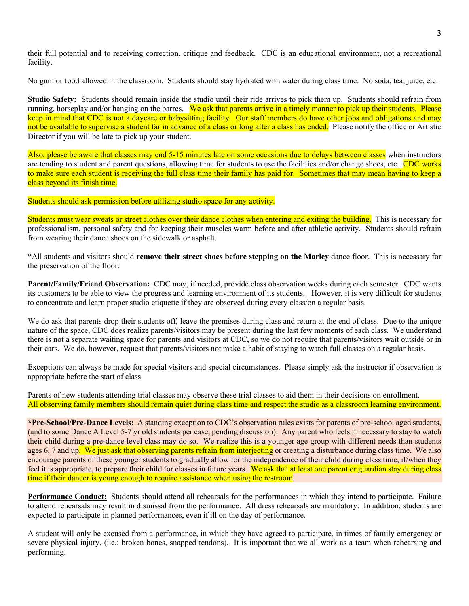their full potential and to receiving correction, critique and feedback. CDC is an educational environment, not a recreational facility.

No gum or food allowed in the classroom. Students should stay hydrated with water during class time. No soda, tea, juice, etc.

**Studio Safety:** Students should remain inside the studio until their ride arrives to pick them up. Students should refrain from running, horseplay and/or hanging on the barres. We ask that parents arrive in a timely manner to pick up their students. Please keep in mind that CDC is not a daycare or babysitting facility. Our staff members do have other jobs and obligations and may not be available to supervise a student far in advance of a class or long after a class has ended. Please notify the office or Artistic Director if you will be late to pick up your student.

Also, please be aware that classes may end 5-15 minutes late on some occasions due to delays between classes when instructors are tending to student and parent questions, allowing time for students to use the facilities and/or change shoes, etc. CDC works to make sure each student is receiving the full class time their family has paid for. Sometimes that may mean having to keep a class beyond its finish time.

Students should ask permission before utilizing studio space for any activity.

Students must wear sweats or street clothes over their dance clothes when entering and exiting the building. This is necessary for professionalism, personal safety and for keeping their muscles warm before and after athletic activity. Students should refrain from wearing their dance shoes on the sidewalk or asphalt.

\*All students and visitors should **remove their street shoes before stepping on the Marley** dance floor. This is necessary for the preservation of the floor.

**Parent/Family/Friend Observation:** CDC may, if needed, provide class observation weeks during each semester. CDC wants its customers to be able to view the progress and learning environment of its students. However, it is very difficult for students to concentrate and learn proper studio etiquette if they are observed during every class/on a regular basis.

We do ask that parents drop their students off, leave the premises during class and return at the end of class. Due to the unique nature of the space, CDC does realize parents/visitors may be present during the last few moments of each class. We understand there is not a separate waiting space for parents and visitors at CDC, so we do not require that parents/visitors wait outside or in their cars. We do, however, request that parents/visitors not make a habit of staying to watch full classes on a regular basis.

Exceptions can always be made for special visitors and special circumstances. Please simply ask the instructor if observation is appropriate before the start of class.

Parents of new students attending trial classes may observe these trial classes to aid them in their decisions on enrollment. All observing family members should remain quiet during class time and respect the studio as a classroom learning environment.

**\*Pre-School/Pre-Dance Levels:** A standing exception to CDC's observation rules exists for parents of pre-school aged students, (and to some Dance A Level 5-7 yr old students per case, pending discussion). Any parent who feels it necessary to stay to watch their child during a pre-dance level class may do so. We realize this is a younger age group with different needs than students ages 6, 7 and up. We just ask that observing parents refrain from interjecting or creating a disturbance during class time. We also encourage parents of these younger students to gradually allow for the independence of their child during class time, if/when they feel it is appropriate, to prepare their child for classes in future years. We ask that at least one parent or guardian stay during class time if their dancer is young enough to require assistance when using the restroom.

**Performance Conduct:** Students should attend all rehearsals for the performances in which they intend to participate. Failure to attend rehearsals may result in dismissal from the performance. All dress rehearsals are mandatory. In addition, students are expected to participate in planned performances, even if ill on the day of performance.

A student will only be excused from a performance, in which they have agreed to participate, in times of family emergency or severe physical injury, (i.e.: broken bones, snapped tendons). It is important that we all work as a team when rehearsing and performing.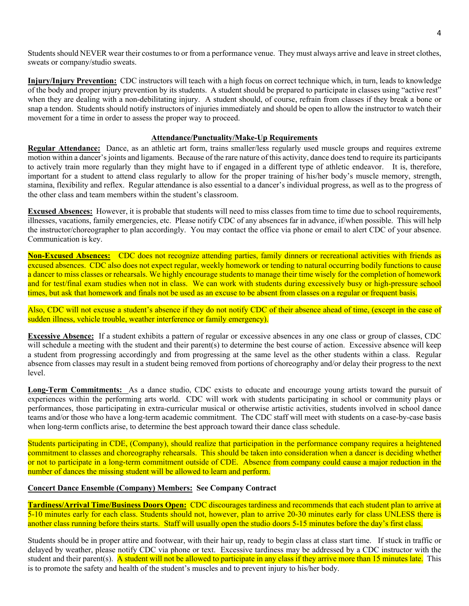Students should NEVER wear their costumes to or from a performance venue. They must always arrive and leave in street clothes, sweats or company/studio sweats.

**Injury/Injury Prevention:** CDC instructors will teach with a high focus on correct technique which, in turn, leads to knowledge of the body and proper injury prevention by its students. A student should be prepared to participate in classes using "active rest" when they are dealing with a non-debilitating injury. A student should, of course, refrain from classes if they break a bone or snap a tendon. Students should notify instructors of injuries immediately and should be open to allow the instructor to watch their movement for a time in order to assess the proper way to proceed.

#### **Attendance/Punctuality/Make-Up Requirements**

**Regular Attendance:** Dance, as an athletic art form, trains smaller/less regularly used muscle groups and requires extreme motion within a dancer's joints and ligaments. Because of the rare nature of this activity, dance does tend to require its participants to actively train more regularly than they might have to if engaged in a different type of athletic endeavor. It is, therefore, important for a student to attend class regularly to allow for the proper training of his/her body's muscle memory, strength, stamina, flexibility and reflex. Regular attendance is also essential to a dancer's individual progress, as well as to the progress of the other class and team members within the student's classroom.

**Excused Absences:** However, it is probable that students will need to miss classes from time to time due to school requirements, illnesses, vacations, family emergencies, etc. Please notify CDC of any absences far in advance, if/when possible. This will help the instructor/choreographer to plan accordingly. You may contact the office via phone or email to alert CDC of your absence. Communication is key.

**Non-Excused Absences:** CDC does not recognize attending parties, family dinners or recreational activities with friends as excused absences. CDC also does not expect regular, weekly homework or tending to natural occurring bodily functions to cause a dancer to miss classes or rehearsals. We highly encourage students to manage their time wisely for the completion of homework and for test/final exam studies when not in class. We can work with students during excessively busy or high-pressure school times, but ask that homework and finals not be used as an excuse to be absent from classes on a regular or frequent basis.

Also, CDC will not excuse a student's absence if they do not notify CDC of their absence ahead of time, (except in the case of sudden illness, vehicle trouble, weather interference or family emergency).

**Excessive Absence:** If a student exhibits a pattern of regular or excessive absences in any one class or group of classes, CDC will schedule a meeting with the student and their parent(s) to determine the best course of action. Excessive absence will keep a student from progressing accordingly and from progressing at the same level as the other students within a class. Regular absence from classes may result in a student being removed from portions of choreography and/or delay their progress to the next level.

**Long-Term Commitments:** As a dance studio, CDC exists to educate and encourage young artists toward the pursuit of experiences within the performing arts world. CDC will work with students participating in school or community plays or performances, those participating in extra-curricular musical or otherwise artistic activities, students involved in school dance teams and/or those who have a long-term academic commitment. The CDC staff will meet with students on a case-by-case basis when long-term conflicts arise, to determine the best approach toward their dance class schedule.

Students participating in CDE, (Company), should realize that participation in the performance company requires a heightened commitment to classes and choreography rehearsals. This should be taken into consideration when a dancer is deciding whether or not to participate in a long-term commitment outside of CDE. Absence from company could cause a major reduction in the number of dances the missing student will be allowed to learn and perform.

#### **Concert Dance Ensemble (Company) Members: See Company Contract**

**Tardiness/Arrival Time/Business Doors Open:** CDC discourages tardiness and recommends that each student plan to arrive at 5-10 minutes early for each class. Students should not, however, plan to arrive 20-30 minutes early for class UNLESS there is another class running before theirs starts. Staff will usually open the studio doors 5-15 minutes before the day's first class.

Students should be in proper attire and footwear, with their hair up, ready to begin class at class start time. If stuck in traffic or delayed by weather, please notify CDC via phone or text. Excessive tardiness may be addressed by a CDC instructor with the student and their parent(s). A student will not be allowed to participate in any class if they arrive more than 15 minutes late. This is to promote the safety and health of the student's muscles and to prevent injury to his/her body.